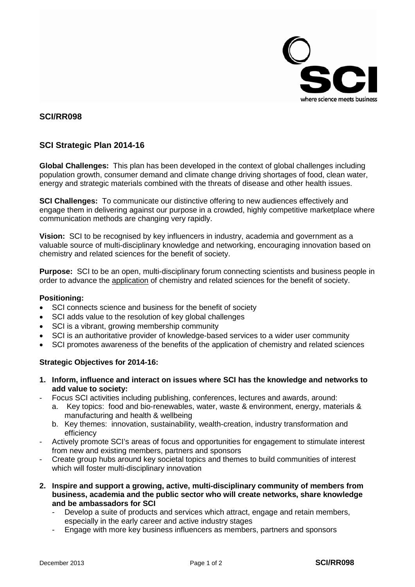

## **SCI/RR098**

## **SCI Strategic Plan 2014-16**

**Global Challenges:** This plan has been developed in the context of global challenges including population growth, consumer demand and climate change driving shortages of food, clean water, energy and strategic materials combined with the threats of disease and other health issues.

**SCI Challenges:** To communicate our distinctive offering to new audiences effectively and engage them in delivering against our purpose in a crowded, highly competitive marketplace where communication methods are changing very rapidly.

**Vision:** SCI to be recognised by key influencers in industry, academia and government as a valuable source of multi-disciplinary knowledge and networking, encouraging innovation based on chemistry and related sciences for the benefit of society.

**Purpose:** SCI to be an open, multi-disciplinary forum connecting scientists and business people in order to advance the application of chemistry and related sciences for the benefit of society.

## **Positioning:**

- SCI connects science and business for the benefit of society
- SCI adds value to the resolution of key global challenges
- SCI is a vibrant, growing membership community
- SCI is an authoritative provider of knowledge-based services to a wider user community
- SCI promotes awareness of the benefits of the application of chemistry and related sciences

## **Strategic Objectives for 2014-16:**

- **1. Inform, influence and interact on issues where SCI has the knowledge and networks to add value to society:**
- Focus SCI activities including publishing, conferences, lectures and awards, around:
	- a. Key topics: food and bio-renewables, water, waste & environment, energy, materials & manufacturing and health & wellbeing
	- b. Key themes: innovation, sustainability, wealth-creation, industry transformation and efficiency
- Actively promote SCI's areas of focus and opportunities for engagement to stimulate interest from new and existing members, partners and sponsors
- Create group hubs around key societal topics and themes to build communities of interest which will foster multi-disciplinary innovation
- **2. Inspire and support a growing, active, multi-disciplinary community of members from business, academia and the public sector who will create networks, share knowledge and be ambassadors for SCI**
	- Develop a suite of products and services which attract, engage and retain members, especially in the early career and active industry stages
	- Engage with more key business influencers as members, partners and sponsors